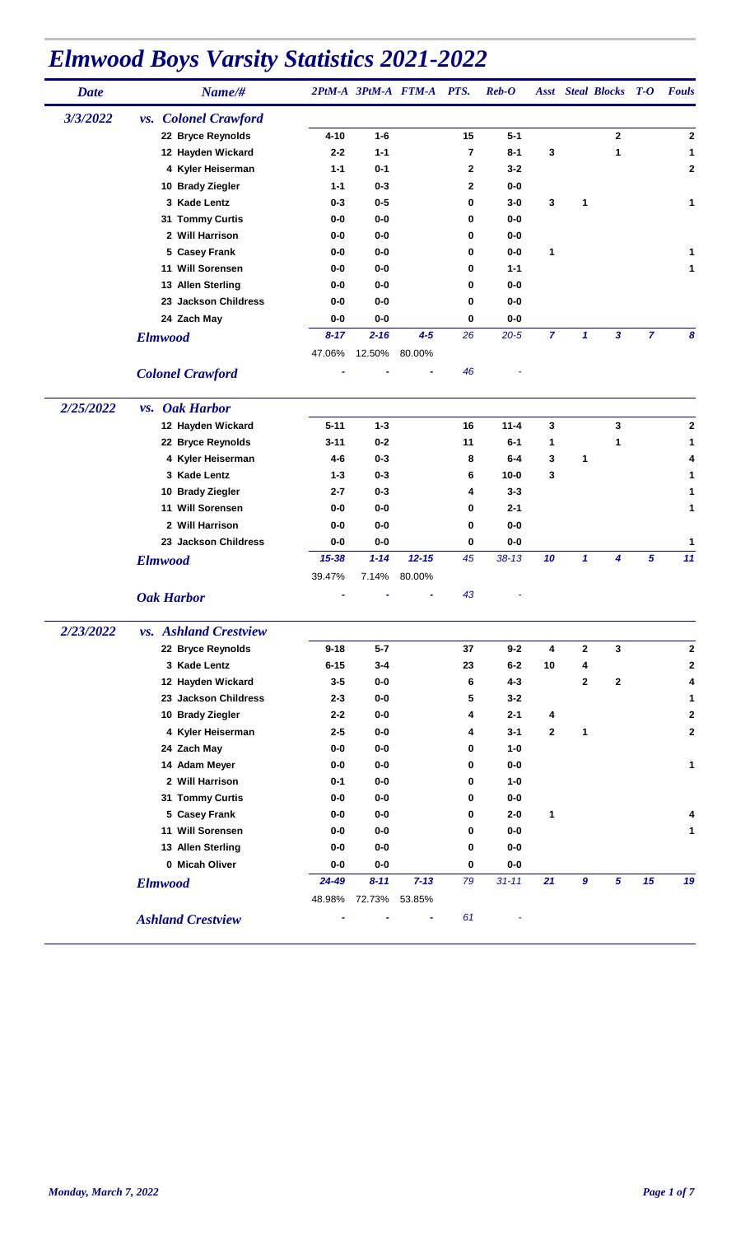| <b>Date</b> | Name/#                       |           |          | 2PtM-A 3PtM-A FTM-A PTS. |                | $\boldsymbol{Reb}\text{-}\boldsymbol{O}$ |                |              | <b>Asst</b> Steal Blocks | $T-O$           | <b>Fouls</b> |
|-------------|------------------------------|-----------|----------|--------------------------|----------------|------------------------------------------|----------------|--------------|--------------------------|-----------------|--------------|
| 3/3/2022    | vs. Colonel Crawford         |           |          |                          |                |                                          |                |              |                          |                 |              |
|             | 22 Bryce Reynolds            | $4 - 10$  | $1 - 6$  |                          | 15             | $5 - 1$                                  |                |              | $\mathbf{2}$             |                 | 2            |
|             | 12 Hayden Wickard            | $2 - 2$   | $1 - 1$  |                          | $\overline{7}$ | $8 - 1$                                  | 3              |              | 1                        |                 | 1            |
|             | 4 Kyler Heiserman            | $1 - 1$   | $0 - 1$  |                          | $\mathbf{2}$   | $3 - 2$                                  |                |              |                          |                 | 2            |
|             | 10 Brady Ziegler             | $1 - 1$   | $0 - 3$  |                          | $\mathbf{2}$   | $0-0$                                    |                |              |                          |                 |              |
|             | 3 Kade Lentz                 | $0 - 3$   | $0 - 5$  |                          | 0              | $3-0$                                    | 3              | 1            |                          |                 | 1            |
|             | 31 Tommy Curtis              | 0-0       | $0-0$    |                          | $\bf{0}$       | $0-0$                                    |                |              |                          |                 |              |
|             | 2 Will Harrison              | 0-0       | $0-0$    |                          | $\bf{0}$       | $0-0$                                    |                |              |                          |                 |              |
|             | 5 Casey Frank                | 0-0       | $0-0$    |                          | 0              | $0-0$                                    | 1              |              |                          |                 | 1            |
|             | 11 Will Sorensen             | 0-0       | $0-0$    |                          | 0              | $1 - 1$                                  |                |              |                          |                 | $\mathbf{1}$ |
|             | 13 Allen Sterling            | $0-0$     | $0-0$    |                          | 0              | $0-0$                                    |                |              |                          |                 |              |
|             | 23 Jackson Childress         | 0-0       | $0-0$    |                          | 0              | $0-0$                                    |                |              |                          |                 |              |
|             | 24 Zach May                  | 0-0       | $0-0$    |                          | 0              | $0-0$                                    |                |              |                          |                 |              |
|             | <b>Elmwood</b>               | $8 - 17$  | $2 - 16$ | $4 - 5$                  | 26             | $20 - 5$                                 | $\overline{7}$ | $\mathbf{1}$ | $\overline{\mathbf{3}}$  | $\overline{7}$  | 8            |
|             |                              | 47.06%    | 12.50%   | 80.00%                   |                |                                          |                |              |                          |                 |              |
|             |                              |           |          |                          | 46             |                                          |                |              |                          |                 |              |
|             | <b>Colonel Crawford</b>      |           |          |                          |                |                                          |                |              |                          |                 |              |
| 2/25/2022   | <i>vs.</i> Oak Harbor        |           |          |                          |                |                                          |                |              |                          |                 |              |
|             | 12 Hayden Wickard            | $5 - 11$  | $1 - 3$  |                          | 16             | $11 - 4$                                 | 3              |              | 3                        |                 | 2            |
|             | 22 Bryce Reynolds            | 3-11      | $0 - 2$  |                          | 11             | $6 - 1$                                  | 1              |              | 1                        |                 | 1            |
|             | 4 Kyler Heiserman            | 4-6       | $0 - 3$  |                          | 8              | $6 - 4$                                  | 3              | 1            |                          |                 | 4            |
|             | 3 Kade Lentz                 | $1 - 3$   | $0 - 3$  |                          | 6              | $10 - 0$                                 | 3              |              |                          |                 | 1            |
|             | 10 Brady Ziegler             | $2 - 7$   | $0 - 3$  |                          | 4              | $3 - 3$                                  |                |              |                          |                 | 1            |
|             | 11 Will Sorensen             | 0-0       | $0-0$    |                          | 0              | $2 - 1$                                  |                |              |                          |                 | 1            |
|             | 2 Will Harrison              | 0-0       | $0-0$    |                          | 0              | $0-0$                                    |                |              |                          |                 |              |
|             | 23 Jackson Childress         | 0-0       | $0-0$    |                          | 0              | $0-0$                                    |                |              |                          |                 | 1            |
|             | <b>Elmwood</b>               | $15 - 38$ | $1 - 14$ | $12 - 15$                | 45             | $38 - 13$                                | 10             | $\mathbf{1}$ | 4                        | $5\phantom{.0}$ | 11           |
|             |                              | 39.47%    | 7.14%    | 80.00%                   |                |                                          |                |              |                          |                 |              |
|             | <b>Oak Harbor</b>            |           |          |                          | 43             |                                          |                |              |                          |                 |              |
| 2/23/2022   | <i>vs.</i> Ashland Crestview |           |          |                          |                |                                          |                |              |                          |                 |              |
|             | 22 Bryce Reynolds            | $9 - 18$  | $5 - 7$  |                          | 37             | $9 - 2$                                  | 4              | 2            | 3                        |                 | 2            |
|             | 3 Kade Lentz                 | $6 - 15$  | $3 - 4$  |                          | 23             | $6 - 2$                                  | 10             | 4            |                          |                 | 2            |
|             | 12 Hayden Wickard            | $3 - 5$   | $0-0$    |                          | 6              | $4 - 3$                                  |                | 2            | $\mathbf{2}$             |                 | 4            |
|             | 23 Jackson Childress         | $2 - 3$   | $0-0$    |                          | 5              | $3 - 2$                                  |                |              |                          |                 | 1            |
|             | 10 Brady Ziegler             | $2 - 2$   | $0-0$    |                          | 4              | $2 - 1$                                  | 4              |              |                          |                 | 2            |
|             | 4 Kyler Heiserman            | $2 - 5$   | $0-0$    |                          | 4              | $3 - 1$                                  | $\mathbf{2}$   | 1            |                          |                 | 2            |
|             | 24 Zach May                  | $0-0$     | $0-0$    |                          | $\bf{0}$       | $1-0$                                    |                |              |                          |                 |              |
|             | 14 Adam Meyer                | $0-0$     | $0-0$    |                          | 0              | $0-0$                                    |                |              |                          |                 | 1            |
|             | 2 Will Harrison              | $0 - 1$   | $0-0$    |                          | 0              | $1-0$                                    |                |              |                          |                 |              |
|             |                              |           | $0-0$    |                          | $\bf{0}$       | $0-0$                                    |                |              |                          |                 |              |
|             | 31 Tommy Curtis              | 0-0       |          |                          |                |                                          |                |              |                          |                 |              |
|             | 5 Casey Frank                | $0-0$     | $0-0$    |                          | 0              | $2 - 0$                                  | 1              |              |                          |                 | 4            |
|             | 11 Will Sorensen             | 0-0       | $0-0$    |                          | 0              | $0-0$                                    |                |              |                          |                 | 1            |
|             | 13 Allen Sterling            | $0-0$     | $0-0$    |                          | 0              | $0-0$                                    |                |              |                          |                 |              |
|             | 0 Micah Oliver               | $0-0$     | $0-0$    |                          | 0              | $0-0$                                    |                |              |                          |                 |              |
|             | <b>Elmwood</b>               | 24-49     | $8 - 11$ | $7 - 13$                 | 79             | $31 - 11$                                | 21             | $\pmb{9}$    | $\overline{5}$           | 15              | 19           |
|             |                              | 48.98%    | 72.73%   | 53.85%                   |                |                                          |                |              |                          |                 |              |
|             | <b>Ashland Crestview</b>     |           |          |                          | 61             |                                          |                |              |                          |                 |              |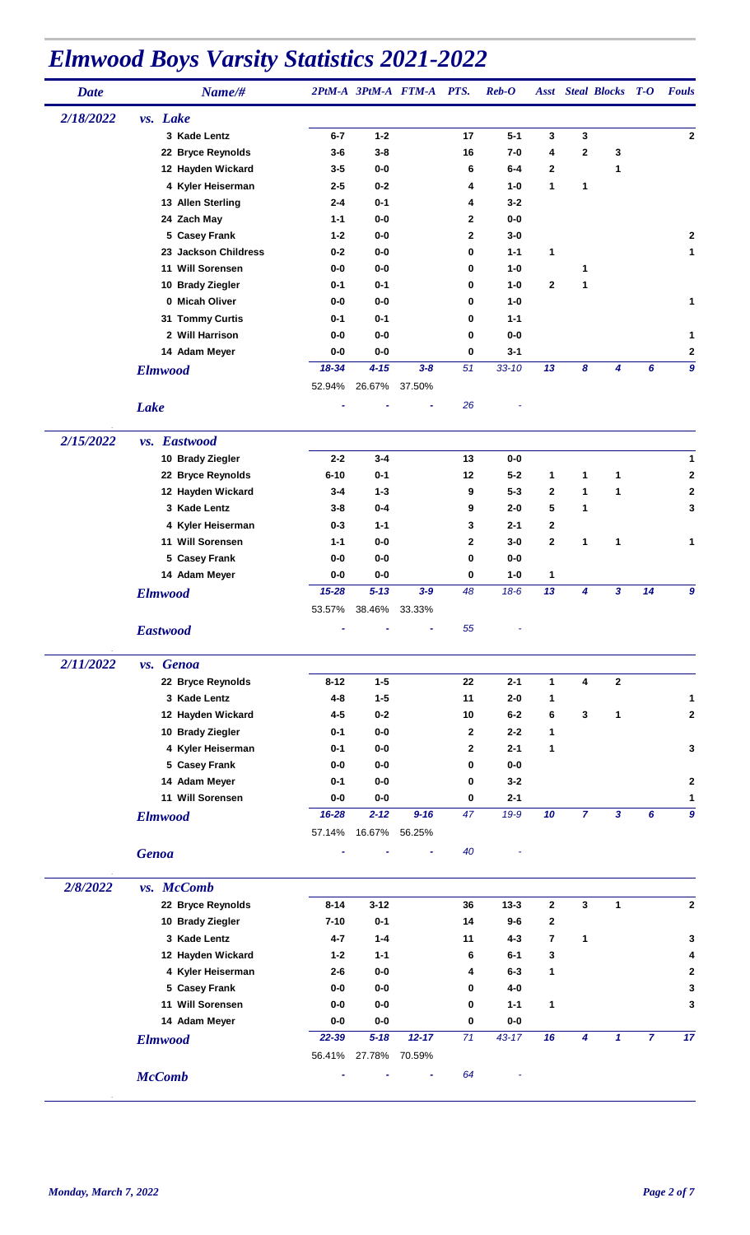| <b>Date</b> | Name/#               |                 |          | 2PtM-A 3PtM-A FTM-A PTS. |              | $\boldsymbol{Reb}\text{-}\boldsymbol{O}$ |              |                | <b>Asst</b> Steal Blocks T-O |                | <b>Fouls</b>     |
|-------------|----------------------|-----------------|----------|--------------------------|--------------|------------------------------------------|--------------|----------------|------------------------------|----------------|------------------|
| 2/18/2022   | vs. Lake             |                 |          |                          |              |                                          |              |                |                              |                |                  |
|             | 3 Kade Lentz         | $6 - 7$         | $1 - 2$  |                          | 17           | $5 - 1$                                  | 3            | 3              |                              |                | 2                |
|             | 22 Bryce Reynolds    | $3-6$           | $3 - 8$  |                          | 16           | $7 - 0$                                  | 4            | $\mathbf{2}$   | 3                            |                |                  |
|             | 12 Hayden Wickard    | $3-5$           | $0-0$    |                          | 6            | $6-4$                                    | $\mathbf{2}$ |                | 1                            |                |                  |
|             | 4 Kyler Heiserman    | $2 - 5$         | $0 - 2$  |                          | 4            | $1 - 0$                                  | 1            | 1              |                              |                |                  |
|             | 13 Allen Sterling    | $2 - 4$         | $0 - 1$  |                          | 4            | $3 - 2$                                  |              |                |                              |                |                  |
|             | 24 Zach May          | $1 - 1$         | $0-0$    |                          | $\mathbf{2}$ | $0-0$                                    |              |                |                              |                |                  |
|             | 5 Casey Frank        | $1 - 2$         | $0-0$    |                          | $\mathbf{2}$ | $3-0$                                    |              |                |                              |                | $\mathbf{2}$     |
|             | 23 Jackson Childress | $0 - 2$         | $0-0$    |                          | 0            | $1 - 1$                                  | 1            |                |                              |                | $\mathbf{1}$     |
|             | 11 Will Sorensen     | $0-0$           | $0-0$    |                          | 0            | $1 - 0$                                  |              | 1              |                              |                |                  |
|             | 10 Brady Ziegler     | $0 - 1$         | $0 - 1$  |                          | 0            | $1 - 0$                                  | 2            | 1              |                              |                |                  |
|             | 0 Micah Oliver       | $0-0$           | $0-0$    |                          | 0            | $1 - 0$                                  |              |                |                              |                | $\mathbf{1}$     |
|             | 31 Tommy Curtis      | $0 - 1$         | $0 - 1$  |                          | 0            | $1 - 1$                                  |              |                |                              |                |                  |
|             | 2 Will Harrison      | $0-0$           | $0-0$    |                          | 0            | $0-0$                                    |              |                |                              |                | 1                |
|             | 14 Adam Meyer        | $0-0$           | $0-0$    |                          | $\bf{0}$     | $3 - 1$                                  |              |                |                              |                | 2                |
|             | <b>Elmwood</b>       | 18-34           | $4 - 15$ | $3 - 8$                  | 51           | $33 - 10$                                | 13           | 8              | 4                            | 6              | $\boldsymbol{9}$ |
|             |                      | 52.94%          | 26.67%   | 37.50%                   |              |                                          |              |                |                              |                |                  |
|             |                      |                 |          |                          | 26           |                                          |              |                |                              |                |                  |
|             | <b>Lake</b>          |                 |          |                          |              |                                          |              |                |                              |                |                  |
| 2/15/2022   | vs. Eastwood         |                 |          |                          |              |                                          |              |                |                              |                |                  |
|             | 10 Brady Ziegler     | $2 - 2$         | $3 - 4$  |                          | 13           | $0-0$                                    |              |                |                              |                | 1                |
|             | 22 Bryce Reynolds    | $6 - 10$        | $0 - 1$  |                          | 12           | $5 - 2$                                  | 1            | 1              | 1                            |                | 2                |
|             | 12 Hayden Wickard    | $3 - 4$         | $1 - 3$  |                          | 9            | $5 - 3$                                  | $\mathbf{2}$ | $\mathbf{1}$   | 1                            |                | $\mathbf 2$      |
|             | 3 Kade Lentz         | $3 - 8$         | $0 - 4$  |                          | 9            | $2 - 0$                                  | 5            | 1              |                              |                | 3                |
|             | 4 Kyler Heiserman    | $0 - 3$         | $1 - 1$  |                          | 3            | $2 - 1$                                  | 2            |                |                              |                |                  |
|             | 11 Will Sorensen     | $1 - 1$         | $0-0$    |                          | $\mathbf{2}$ | 3-0                                      | 2            | 1              | 1                            |                | 1                |
|             | 5 Casey Frank        | $0-0$           | $0-0$    |                          | 0            | $0-0$                                    |              |                |                              |                |                  |
|             | 14 Adam Meyer        | $0-0$           | $0-0$    |                          | 0            | $1 - 0$                                  | 1            |                |                              |                |                  |
|             | <b>Elmwood</b>       | $15 - 28$       | $5 - 13$ | $3 - 9$                  | 48           | $18-6$                                   | 13           | 4              | $\mathbf{3}$                 | 14             | 9                |
|             |                      | 53.57%          | 38.46%   | 33.33%                   |              |                                          |              |                |                              |                |                  |
|             | <b>Eastwood</b>      |                 |          |                          | 55           |                                          |              |                |                              |                |                  |
|             |                      |                 |          |                          |              |                                          |              |                |                              |                |                  |
| 2/11/2022   | vs. Genoa            |                 |          |                          |              |                                          |              |                |                              |                |                  |
|             | 22 Bryce Reynolds    | $8 - 12$        | $1 - 5$  |                          | 22           | $2 - 1$                                  | 1            | 4              | $\mathbf{2}$                 |                |                  |
|             | 3 Kade Lentz         | $4 - 8$         | $1 - 5$  |                          | 11           | $2-0$                                    | 1            |                |                              |                | 1                |
|             | 12 Hayden Wickard    | $4 - 5$         | $0 - 2$  |                          | 10           | $6-2$                                    | 6            | 3              | 1                            |                | $\mathbf{2}$     |
|             | 10 Brady Ziegler     | $0 - 1$         | $0-0$    |                          | $\mathbf{2}$ | $2 - 2$                                  | 1            |                |                              |                |                  |
|             | 4 Kyler Heiserman    | $0 - 1$         | $0-0$    |                          | $\mathbf{2}$ | $2 - 1$                                  | 1            |                |                              |                | 3                |
|             | 5 Casey Frank        | $0-0$           | $0-0$    |                          | 0            | $0-0$                                    |              |                |                              |                |                  |
|             | 14 Adam Meyer        | $0 - 1$         | $0-0$    |                          | 0            | $3 - 2$                                  |              |                |                              |                | 2                |
|             | 11 Will Sorensen     | $0-0$           | $0-0$    |                          | 0            | $2 - 1$                                  |              |                |                              |                | 1                |
|             | <b>Elmwood</b>       | 16-28           | $2 - 12$ | $9 - 16$                 | 47           | $19-9$                                   | 10           | $\overline{7}$ | $\mathbf{3}$                 | 6              | $\boldsymbol{9}$ |
|             |                      | 57.14%          | 16.67%   | 56.25%                   |              |                                          |              |                |                              |                |                  |
|             | <b>Genoa</b>         |                 |          |                          | 40           |                                          |              |                |                              |                |                  |
| 2/8/2022    | vs. McComb           |                 |          |                          |              |                                          |              |                |                              |                |                  |
|             |                      |                 |          |                          |              |                                          |              |                |                              |                |                  |
|             | 22 Bryce Reynolds    | $8 - 14$        | $3 - 12$ |                          | 36           | $13 - 3$                                 | $\mathbf{2}$ | 3              | 1                            |                | $\mathbf 2$      |
|             | 10 Brady Ziegler     | $7 - 10$        | $0 - 1$  |                          | 14           | $9-6$                                    | 2            |                |                              |                |                  |
|             | 3 Kade Lentz         | 4-7             | $1 - 4$  |                          | 11           | $4 - 3$                                  | 7            | 1              |                              |                | 3                |
|             | 12 Hayden Wickard    | $1 - 2$         | $1 - 1$  |                          | 6            | 6-1                                      | 3            |                |                              |                | 4                |
|             | 4 Kyler Heiserman    | $2 - 6$         | 0-0      |                          | 4            | $6 - 3$                                  | 1            |                |                              |                | $\mathbf 2$      |
|             | 5 Casey Frank        | $0-0$           | $0-0$    |                          | 0            | 4-0                                      |              |                |                              |                | 3                |
|             | 11 Will Sorensen     | $0-0$           | $0-0$    |                          | 0            | $1 - 1$                                  | 1            |                |                              |                | 3                |
|             | 14 Adam Meyer        | $0-0$           | $0-0$    |                          | 0            | $0-0$                                    |              |                |                              |                |                  |
|             | <b>Elmwood</b>       | 22-39<br>56.41% | $5 - 18$ | $12 - 17$                | 71           | $43 - 17$                                | 16           | 4              | $\mathbf{1}$                 | $\overline{7}$ | 17               |
|             |                      |                 | 27.78%   | 70.59%                   |              |                                          |              |                |                              |                |                  |
|             | <b>McComb</b>        |                 |          |                          | 64           |                                          |              |                |                              |                |                  |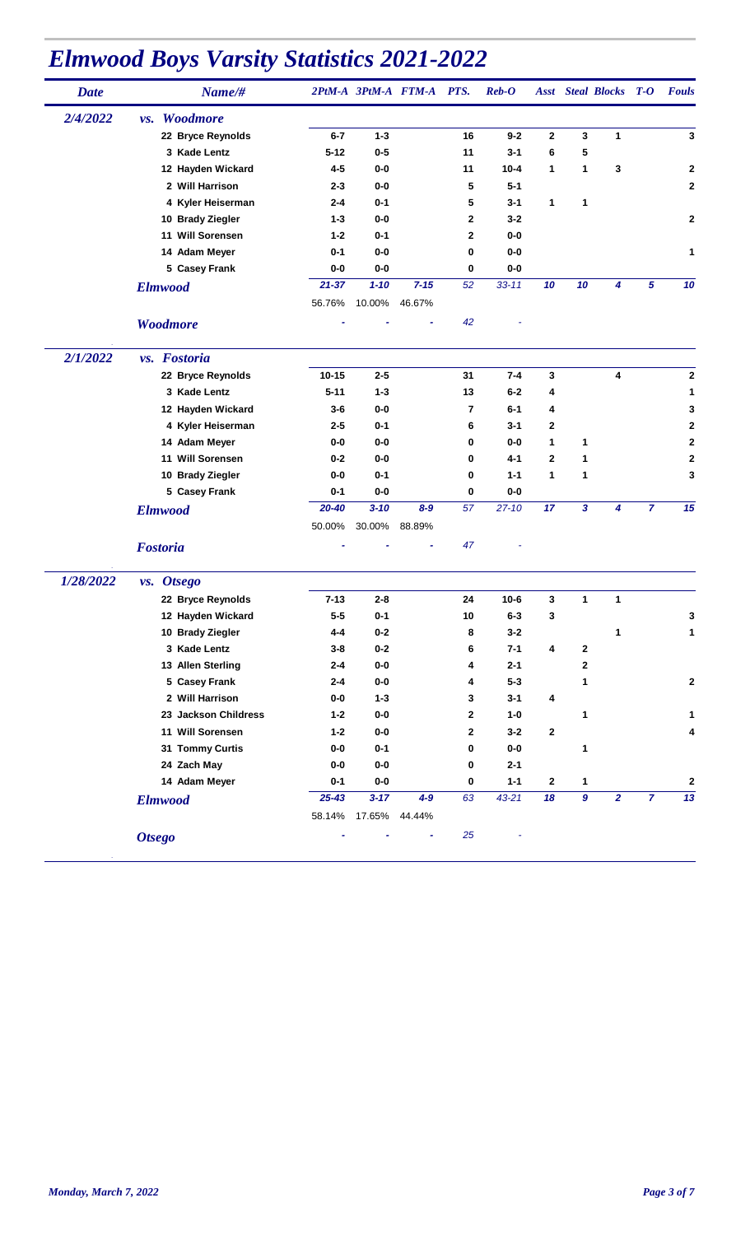| <b>Date</b> | Name/#                      |           |               | 2PtM-A 3PtM-A FTM-A PTS. |              | $\boldsymbol{Reb}\text{-}\boldsymbol{O}$ |                  |                  | <b>Asst</b> Steal Blocks | $T-O$          | <b>Fouls</b>     |
|-------------|-----------------------------|-----------|---------------|--------------------------|--------------|------------------------------------------|------------------|------------------|--------------------------|----------------|------------------|
| 2/4/2022    | Woodmore<br>VS <sub>2</sub> |           |               |                          |              |                                          |                  |                  |                          |                |                  |
|             | 22 Bryce Reynolds           | $6 - 7$   | $1 - 3$       |                          | 16           | $9 - 2$                                  | $\mathbf 2$      | 3                | 1                        |                | 3                |
|             | 3 Kade Lentz                | $5 - 12$  | $0 - 5$       |                          | 11           | $3 - 1$                                  | 6                | 5                |                          |                |                  |
|             | 12 Hayden Wickard           | $4 - 5$   | $0-0$         |                          | 11           | $10 - 4$                                 | 1                | 1                | 3                        |                | $\mathbf 2$      |
|             | 2 Will Harrison             | $2 - 3$   | $0-0$         |                          | 5            | $5 - 1$                                  |                  |                  |                          |                | $\mathbf{2}$     |
|             | 4 Kyler Heiserman           | $2 - 4$   | $0 - 1$       |                          | 5            | $3 - 1$                                  | 1                | $\mathbf{1}$     |                          |                |                  |
|             | 10 Brady Ziegler            | $1 - 3$   | $0-0$         |                          | $\mathbf{2}$ | $3 - 2$                                  |                  |                  |                          |                | 2                |
|             | 11 Will Sorensen            | $1 - 2$   | $0 - 1$       |                          | 2            | $0-0$                                    |                  |                  |                          |                |                  |
|             | 14 Adam Meyer               | $0 - 1$   | $0-0$         |                          | 0            | $0-0$                                    |                  |                  |                          |                | 1                |
|             | 5 Casey Frank               | $0-0$     | $0-0$         |                          | 0            | $0-0$                                    |                  |                  |                          |                |                  |
|             | <b>Elmwood</b>              | $21 - 37$ | $1 - 10$      | $7 - 15$                 | 52           | $33 - 11$                                | 10               | 10               | 4                        | 5              | 10               |
|             |                             | 56.76%    | 10.00%        | 46.67%                   |              |                                          |                  |                  |                          |                |                  |
|             | Woodmore                    |           |               |                          | 42           |                                          |                  |                  |                          |                |                  |
| 2/1/2022    | vs. Fostoria                |           |               |                          |              |                                          |                  |                  |                          |                |                  |
|             | 22 Bryce Reynolds           | $10 - 15$ | $2 - 5$       |                          | 31           | $7 - 4$                                  | 3                |                  | 4                        |                | $\bf{2}$         |
|             | 3 Kade Lentz                | $5 - 11$  | $1 - 3$       |                          | 13           | $6-2$                                    | 4                |                  |                          |                | 1                |
|             | 12 Hayden Wickard           | $3-6$     | $0-0$         |                          | 7            | $6 - 1$                                  | 4                |                  |                          |                | 3                |
|             | 4 Kyler Heiserman           | $2 - 5$   | $0 - 1$       |                          | 6            | $3 - 1$                                  | $\mathbf{2}$     |                  |                          |                | 2                |
|             | 14 Adam Meyer               | 0-0       | $0-0$         |                          | 0            | 0-0                                      | 1                | 1                |                          |                | $\mathbf 2$      |
|             | 11 Will Sorensen            | $0 - 2$   | $0-0$         |                          | 0            | 4-1                                      | $\mathbf{2}$     | 1                |                          |                | 2                |
|             | 10 Brady Ziegler            | $0-0$     | $0 - 1$       |                          | 0            | $1 - 1$                                  | 1                | 1                |                          |                | 3                |
|             | 5 Casey Frank               | $0 - 1$   | $0-0$         |                          | 0            | $0-0$                                    |                  |                  |                          |                |                  |
|             | <b>Elmwood</b>              | $20 - 40$ | $3 - 10$      | $8 - 9$                  | 57           | $27 - 10$                                | 17               | 3                | 4                        | $\overline{7}$ | 15               |
|             |                             | 50.00%    | 30.00%        | 88.89%                   |              |                                          |                  |                  |                          |                |                  |
|             | <b>Fostoria</b>             |           |               |                          | 47           |                                          |                  |                  |                          |                |                  |
| 1/28/2022   | vs. Otsego                  |           |               |                          |              |                                          |                  |                  |                          |                |                  |
|             | 22 Bryce Reynolds           | $7 - 13$  | $2 - 8$       |                          | 24           | $10 - 6$                                 | 3                | 1                | 1                        |                |                  |
|             | 12 Hayden Wickard           | $5 - 5$   | $0 - 1$       |                          | 10           | $6 - 3$                                  | 3                |                  |                          |                | 3                |
|             | 10 Brady Ziegler            | $4 - 4$   | $0-2$         |                          | 8            | $3 - 2$                                  |                  |                  | 1                        |                | 1                |
|             | 3 Kade Lentz                | $3 - 8$   | $0-2$         |                          | 6            | $7 - 1$                                  | 4                | $\boldsymbol{2}$ |                          |                |                  |
|             | 13 Allen Sterling           | $2 - 4$   | $0-0$         |                          | 4            | $2 - 1$                                  |                  | 2                |                          |                |                  |
|             | 5 Casey Frank               | $2 - 4$   | $0-0$         |                          | 4            | $5 - 3$                                  |                  | 1                |                          |                | $\mathbf 2$      |
|             | 2 Will Harrison             | $0-0$     | $1 - 3$       |                          | 3            | $3 - 1$                                  | 4                |                  |                          |                |                  |
|             | 23 Jackson Childress        | $1 - 2$   | $0-0$         |                          | $\mathbf 2$  | $1-0$                                    |                  | 1                |                          |                | 1                |
|             | 11 Will Sorensen            | $1 - 2$   | $0-0$         |                          | $\mathbf{2}$ | $3 - 2$                                  | $\bf{2}$         |                  |                          |                | 4                |
|             | 31 Tommy Curtis             | $0-0$     | $0-1$         |                          | 0            | $0-0$                                    |                  | 1                |                          |                |                  |
|             | 24 Zach May                 | $0-0$     | $0-0$         |                          | 0            | $2 - 1$                                  |                  |                  |                          |                |                  |
|             | 14 Adam Meyer               | $0 - 1$   | $0-0$         |                          | 0            | $1 - 1$                                  | $\boldsymbol{2}$ | 1                |                          |                | $\boldsymbol{2}$ |
|             | <b>Elmwood</b>              | $25 - 43$ | $3 - 17$      | $4-9$                    | 63           | $43 - 21$                                | 18               | $\pmb{9}$        | $\overline{2}$           | $\overline{z}$ | 13               |
|             |                             | 58.14%    | 17.65% 44.44% |                          |              |                                          |                  |                  |                          |                |                  |
|             | <b>Otsego</b>               |           |               | ۰                        | 25           |                                          |                  |                  |                          |                |                  |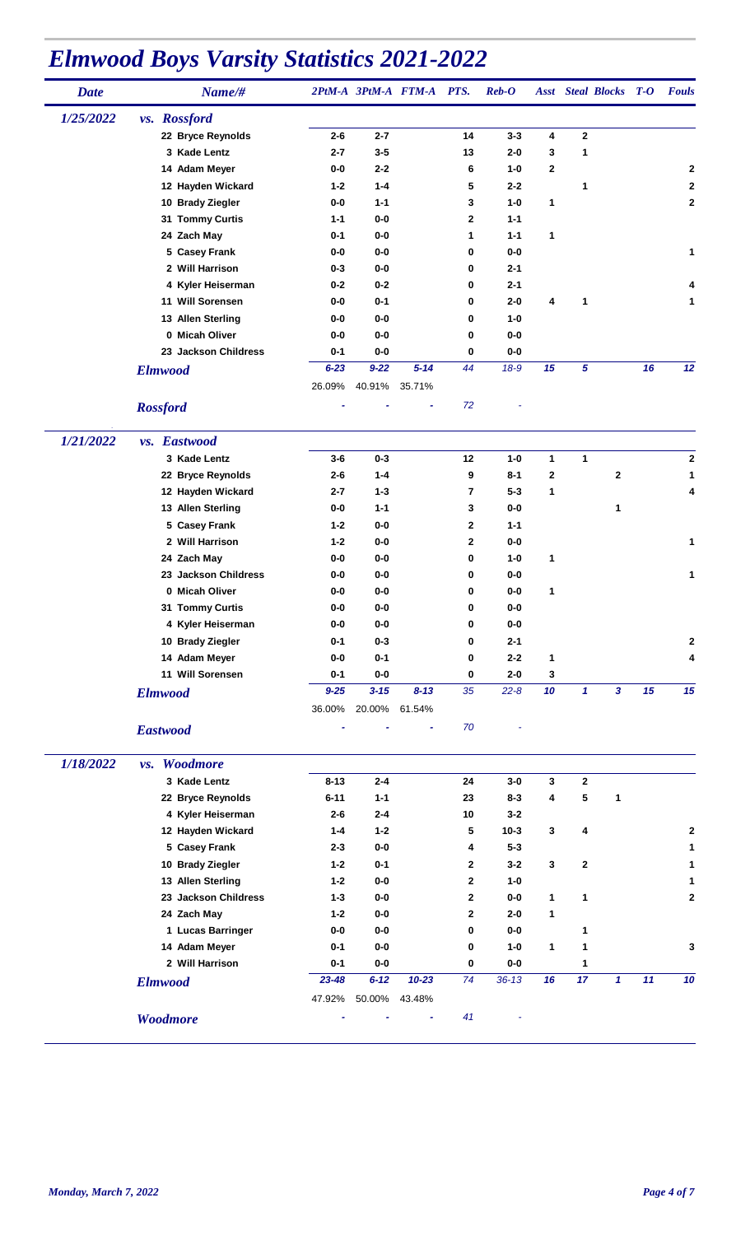| <b>Date</b> | Name/#               |          |          | 2PtM-A 3PtM-A FTM-A PTS. |              | $\boldsymbol{Reb}\text{-}\boldsymbol{O}$ |    |             | <b>Asst</b> Steal Blocks T-O |    | <b>Fouls</b> |
|-------------|----------------------|----------|----------|--------------------------|--------------|------------------------------------------|----|-------------|------------------------------|----|--------------|
| 1/25/2022   | vs. Rossford         |          |          |                          |              |                                          |    |             |                              |    |              |
|             | 22 Bryce Reynolds    | $2 - 6$  | $2 - 7$  |                          | 14           | $3 - 3$                                  | 4  | $\mathbf 2$ |                              |    |              |
|             | 3 Kade Lentz         | $2 - 7$  | $3 - 5$  |                          | 13           | $2 - 0$                                  | 3  | 1           |                              |    |              |
|             | 14 Adam Meyer        | 0-0      | $2 - 2$  |                          | 6            | $1 - 0$                                  | 2  |             |                              |    | 2            |
|             | 12 Hayden Wickard    | $1 - 2$  | $1 - 4$  |                          | 5            | $2 - 2$                                  |    | 1           |                              |    | $\mathbf 2$  |
|             | 10 Brady Ziegler     | $0-0$    | $1 - 1$  |                          | 3            | $1 - 0$                                  | 1  |             |                              |    | $\mathbf 2$  |
|             | 31 Tommy Curtis      | $1 - 1$  | $0-0$    |                          | 2            | $1 - 1$                                  |    |             |                              |    |              |
|             | 24 Zach May          | $0 - 1$  | $0-0$    |                          | 1            | $1 - 1$                                  | 1  |             |                              |    |              |
|             | 5 Casey Frank        | 0-0      | $0-0$    |                          | 0            | $0-0$                                    |    |             |                              |    | 1            |
|             | 2 Will Harrison      | $0 - 3$  | 0-0      |                          | 0            | $2 - 1$                                  |    |             |                              |    |              |
|             | 4 Kyler Heiserman    | $0 - 2$  | $0 - 2$  |                          | 0            | $2 - 1$                                  |    |             |                              |    |              |
|             | 11 Will Sorensen     | 0-0      | $0 - 1$  |                          | 0            | $2 - 0$                                  | 4  | 1           |                              |    | 1            |
|             | 13 Allen Sterling    | $0-0$    | 0-0      |                          | 0            | $1 - 0$                                  |    |             |                              |    |              |
|             | 0 Micah Oliver       | $0-0$    | $0-0$    |                          | 0            | 0-0                                      |    |             |                              |    |              |
|             | 23 Jackson Childress | $0 - 1$  | $0-0$    |                          | 0            | $0-0$                                    |    |             |                              |    |              |
|             | <b>Elmwood</b>       | $6 - 23$ | $9 - 22$ | $5 - 14$                 | 44           | $18-9$                                   | 15 | 5           |                              | 16 | 12           |
|             |                      | 26.09%   | 40.91%   | 35.71%                   |              |                                          |    |             |                              |    |              |
|             |                      |          |          |                          |              |                                          |    |             |                              |    |              |
|             | <b>Rossford</b>      |          |          |                          | 72           |                                          |    |             |                              |    |              |
|             |                      |          |          |                          |              |                                          |    |             |                              |    |              |
| 1/21/2022   | vs. Eastwood         |          |          |                          |              |                                          |    |             |                              |    |              |
|             | 3 Kade Lentz         | $3-6$    | $0 - 3$  |                          | 12           | $1-0$                                    | 1  | 1           |                              |    | $\mathbf 2$  |
|             | 22 Bryce Reynolds    | $2 - 6$  | $1 - 4$  |                          | 9            | $8 - 1$                                  | 2  |             | $\mathbf{2}$                 |    | 1            |
|             | 12 Hayden Wickard    | $2 - 7$  | $1 - 3$  |                          | 7            | $5 - 3$                                  | 1  |             |                              |    | 4            |
|             | 13 Allen Sterling    | $0-0$    | $1 - 1$  |                          | 3            | $0-0$                                    |    |             | 1                            |    |              |
|             | 5 Casey Frank        | $1 - 2$  | $0-0$    |                          | 2            | $1 - 1$                                  |    |             |                              |    |              |
|             | 2 Will Harrison      | $1 - 2$  | 0-0      |                          | $\mathbf{2}$ | $0-0$                                    |    |             |                              |    | 1            |
|             | 24 Zach May          | 0-0      | $0-0$    |                          | 0            | $1 - 0$                                  | 1  |             |                              |    |              |
|             | 23 Jackson Childress | $0-0$    | $0-0$    |                          | 0            | $0-0$                                    |    |             |                              |    | 1            |
|             | 0 Micah Oliver       | $0-0$    | 0-0      |                          | 0            | 0-0                                      | 1  |             |                              |    |              |
|             | 31 Tommy Curtis      | 0-0      | $0-0$    |                          | 0            | 0-0                                      |    |             |                              |    |              |
|             | 4 Kyler Heiserman    | $0-0$    | $0-0$    |                          | 0            | 0-0                                      |    |             |                              |    |              |
|             | 10 Brady Ziegler     | $0 - 1$  | $0 - 3$  |                          | 0            | $2 - 1$                                  |    |             |                              |    | $\mathbf{2}$ |
|             | 14 Adam Meyer        | $0-0$    | $0 - 1$  |                          | 0            | $2 - 2$                                  | 1  |             |                              |    | 4            |
|             | 11 Will Sorensen     | $0 - 1$  | $0-0$    |                          | 0            | $2-0$                                    | 3  |             |                              |    |              |
|             | <b>Elmwood</b>       | $9 - 25$ | $3 - 15$ | $8 - 13$                 | 35           | $22 - 8$                                 | 10 | 1           | $\overline{\mathbf{3}}$      | 15 | 15           |
|             |                      | 36.00%   | 20.00%   | 61.54%                   |              |                                          |    |             |                              |    |              |
|             | <b>Eastwood</b>      |          |          |                          | 70           |                                          |    |             |                              |    |              |
|             |                      |          |          |                          |              |                                          |    |             |                              |    |              |
| 1/18/2022   | Woodmore<br>vs.      |          |          |                          |              |                                          |    |             |                              |    |              |
|             | 3 Kade Lentz         | $8 - 13$ | $2 - 4$  |                          | 24           | $3-0$                                    |    | $\mathbf 2$ |                              |    |              |
|             |                      |          |          |                          |              |                                          | 3  | 5           |                              |    |              |
|             | 22 Bryce Reynolds    | $6 - 11$ | $1 - 1$  |                          | 23           | $8 - 3$                                  | 4  |             | 1                            |    |              |
|             | 4 Kyler Heiserman    | $2 - 6$  | $2 - 4$  |                          | 10           | $3 - 2$                                  |    |             |                              |    |              |
|             | 12 Hayden Wickard    | 1-4      | $1 - 2$  |                          | 5            | $10 - 3$                                 | 3  | 4           |                              |    | $\mathbf{2}$ |
|             | 5 Casey Frank        | $2 - 3$  | $0-0$    |                          | 4            | $5 - 3$                                  |    |             |                              |    | 1            |
|             | 10 Brady Ziegler     | $1 - 2$  | $0 - 1$  |                          | 2            | $3 - 2$                                  | 3  | 2           |                              |    | 1            |
|             | 13 Allen Sterling    | $1 - 2$  | $0-0$    |                          | 2            | $1 - 0$                                  |    |             |                              |    | 1            |
|             | 23 Jackson Childress | $1 - 3$  | $0-0$    |                          | $\mathbf{2}$ | $0-0$                                    | 1  | 1           |                              |    | $\mathbf 2$  |
|             | 24 Zach May          | $1 - 2$  | $0-0$    |                          | 2            | $2 - 0$                                  | 1  |             |                              |    |              |
|             | 1 Lucas Barringer    | $0-0$    | $0-0$    |                          | 0            | $0-0$                                    |    | 1           |                              |    |              |
|             | 14 Adam Meyer        | $0 - 1$  | $0-0$    |                          | 0            | $1-0$                                    | 1  | 1           |                              |    | 3            |
|             | 2 Will Harrison      | $0 - 1$  | $0-0$    |                          | 0            | $0-0$                                    |    | 1           |                              |    |              |
|             | <b>Elmwood</b>       | 23-48    | $6 - 12$ | $10 - 23$                | 74           | $36 - 13$                                | 16 | 17          | 1                            | 11 | 10           |
|             |                      | 47.92%   | 50.00%   | 43.48%                   |              |                                          |    |             |                              |    |              |
|             | Woodmore             |          |          |                          | 41           |                                          |    |             |                              |    |              |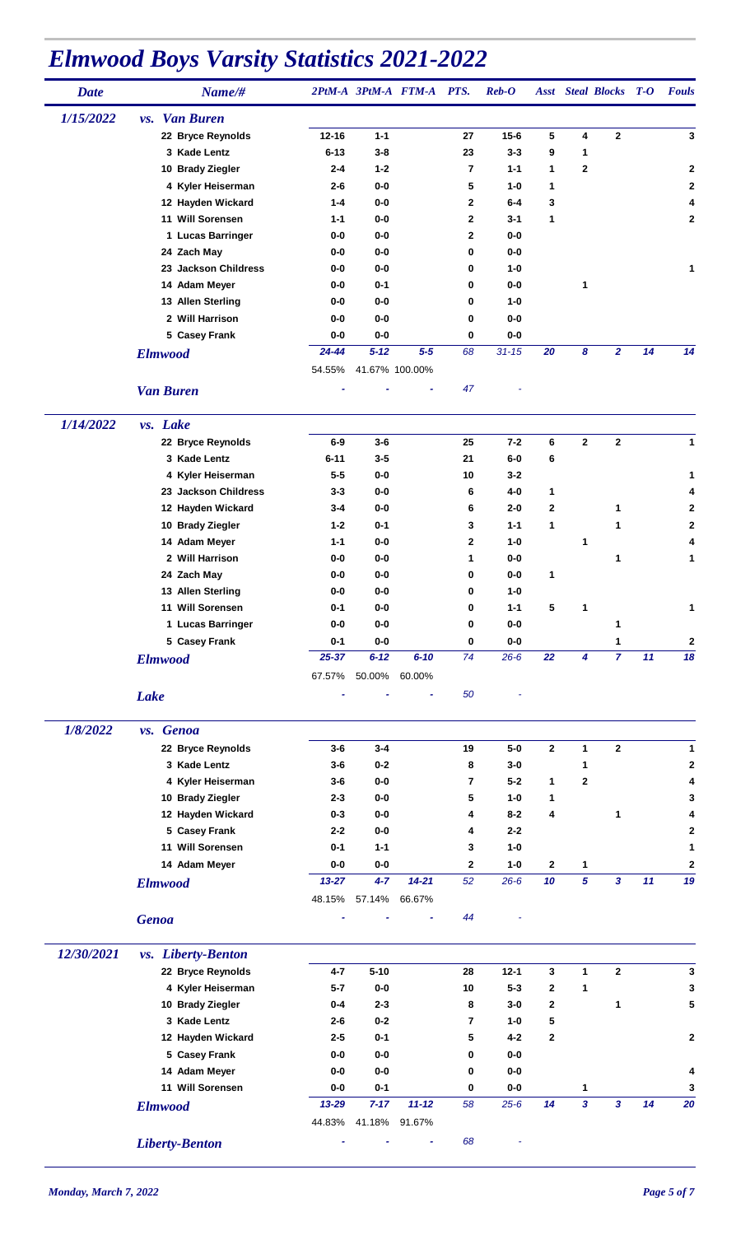| <b>Date</b> | Name/#                    |           |                  | 2PtM-A 3PtM-A FTM-A PTS. |                    | $\boldsymbol{Reb}\text{-}\boldsymbol{O}$ |                   |                     | <b>Asst</b> Steal Blocks T-O |    | <b>Fouls</b>   |
|-------------|---------------------------|-----------|------------------|--------------------------|--------------------|------------------------------------------|-------------------|---------------------|------------------------------|----|----------------|
| 1/15/2022   | <i>vs.</i> Van Buren      |           |                  |                          |                    |                                          |                   |                     |                              |    |                |
|             | 22 Bryce Reynolds         | $12 - 16$ | $1 - 1$          |                          | 27                 | $15 - 6$                                 | 5                 | 4                   | $\mathbf{2}$                 |    | $\mathbf{3}$   |
|             | 3 Kade Lentz              | $6 - 13$  | $3 - 8$          |                          | 23                 | $3 - 3$                                  | 9                 | 1                   |                              |    |                |
|             | 10 Brady Ziegler          | $2 - 4$   | $1 - 2$          |                          | 7                  | $1 - 1$                                  | 1                 | 2                   |                              |    | $\overline{2}$ |
|             | 4 Kyler Heiserman         | $2 - 6$   | $0-0$            |                          | 5                  | $1 - 0$                                  | 1                 |                     |                              |    | 2              |
|             | 12 Hayden Wickard         | $1 - 4$   | $0-0$            |                          | 2                  | $6-4$                                    | 3                 |                     |                              |    | 4              |
|             | 11 Will Sorensen          | $1 - 1$   | $0-0$            |                          | 2                  | $3 - 1$                                  | 1                 |                     |                              |    | $\mathbf 2$    |
|             | 1 Lucas Barringer         | $0-0$     | $0-0$            |                          | 2                  | 0-0                                      |                   |                     |                              |    |                |
|             | 24 Zach May               | $0-0$     | $0-0$            |                          | 0                  | 0-0                                      |                   |                     |                              |    |                |
|             | 23 Jackson Childress      | $0-0$     | 0-0              |                          | 0                  | $1 - 0$                                  |                   |                     |                              |    | 1              |
|             | 14 Adam Meyer             | 0-0       | $0 - 1$          |                          | 0                  | 0-0                                      |                   | 1                   |                              |    |                |
|             | 13 Allen Sterling         | 0-0       | $0-0$            |                          | 0                  | $1-0$                                    |                   |                     |                              |    |                |
|             | 2 Will Harrison           | $0-0$     | 0-0              |                          | 0                  | 0-0                                      |                   |                     |                              |    |                |
|             | 5 Casey Frank             | $0-0$     | $0-0$            |                          | 0                  | $0-0$                                    |                   |                     |                              |    |                |
|             | <b>Elmwood</b>            | 24-44     | $5 - 12$         | $5 - 5$                  | 68                 | $31 - 15$                                | 20                | 8                   | 2                            | 14 | 14             |
|             |                           | 54.55%    |                  | 41.67% 100.00%           |                    |                                          |                   |                     |                              |    |                |
|             | <b>Van Buren</b>          |           |                  |                          | 47                 |                                          |                   |                     |                              |    |                |
|             |                           |           |                  |                          |                    |                                          |                   |                     |                              |    |                |
| 1/14/2022   | vs. Lake                  |           |                  |                          |                    |                                          |                   |                     |                              |    |                |
|             | 22 Bryce Reynolds         | $6-9$     | $3-6$            |                          | 25                 | $7 - 2$                                  | 6                 | $\mathbf{2}$        | $\mathbf{2}$                 |    | $\mathbf{1}$   |
|             | 3 Kade Lentz              | $6 - 11$  | $3 - 5$          |                          | 21                 | $6-0$                                    | 6                 |                     |                              |    |                |
|             | 4 Kyler Heiserman         | $5 - 5$   | 0-0              |                          | 10                 | 3-2                                      |                   |                     |                              |    | 1              |
|             | 23 Jackson Childress      | $3 - 3$   | $0-0$            |                          | 6                  | $4-0$                                    | 1                 |                     |                              |    | 4              |
|             | 12 Hayden Wickard         | $3 - 4$   | $0-0$            |                          | 6                  | $2 - 0$                                  | $\mathbf 2$       |                     | 1                            |    | 2              |
|             | 10 Brady Ziegler          | $1 - 2$   | $0 - 1$          |                          | 3                  | $1 - 1$                                  | 1                 |                     | 1                            |    | $\mathbf 2$    |
|             | 14 Adam Meyer             | $1 - 1$   | 0-0              |                          | 2                  | $1-0$                                    |                   | 1                   |                              |    | 4              |
|             | 2 Will Harrison           | $0-0$     | $0-0$            |                          | 1                  | $0-0$                                    |                   |                     | 1                            |    | 1              |
|             | 24 Zach May               | $0-0$     | $0-0$            |                          | 0                  | $0-0$                                    | 1                 |                     |                              |    |                |
|             | 13 Allen Sterling         | $0-0$     | 0-0              |                          | 0                  | $1-0$                                    |                   |                     |                              |    |                |
|             | 11 Will Sorensen          | $0 - 1$   | $0-0$            |                          | 0                  | $1 - 1$                                  | 5                 | 1                   |                              |    | 1              |
|             | 1 Lucas Barringer         | $0-0$     | $0-0$            |                          | o                  | 0-0                                      |                   |                     | 1                            |    |                |
|             | 5 Casey Frank             | $0 - 1$   | $0-0$            |                          | 0                  | $0-0$                                    |                   |                     | 1                            |    | $\mathbf 2$    |
|             | <b>Elmwood</b>            | $25 - 37$ | $6 - 12$         | $6 - 10$                 | 74                 | $26 - 6$                                 | 22                | 4                   | $\overline{7}$               | 11 | 18             |
|             |                           | 67.57%    | 50.00%           | 60.00%                   |                    |                                          |                   |                     |                              |    |                |
|             | <b>Lake</b>               |           |                  |                          | 50                 |                                          |                   |                     |                              |    |                |
|             |                           |           |                  |                          |                    |                                          |                   |                     |                              |    |                |
| 1/8/2022    | vs. Genoa                 |           |                  |                          |                    |                                          |                   |                     |                              |    |                |
|             | 22 Bryce Reynolds         | $3-6$     | $3 - 4$          |                          | 19                 | $5-0$                                    | $\mathbf{2}$      | $\mathbf{1}$        | $\mathbf 2$                  |    | 1              |
|             | 3 Kade Lentz              | $3-6$     | $0 - 2$          |                          | 8                  | $3-0$                                    |                   | 1                   |                              |    | 2              |
|             | 4 Kyler Heiserman         | $3-6$     | $0-0$            |                          | $\overline{7}$     | $5-2$                                    | 1                 | 2                   |                              |    | 4              |
|             | 10 Brady Ziegler          | $2 - 3$   | $0-0$            |                          | 5                  | $1-0$                                    | 1                 |                     |                              |    | 3              |
|             | 12 Hayden Wickard         | $0 - 3$   | 0-0              |                          | 4                  | $8 - 2$                                  | 4                 |                     | 1                            |    | 4              |
|             | 5 Casey Frank             | $2 - 2$   | $0-0$            |                          | 4                  | $2 - 2$                                  |                   |                     |                              |    | $\mathbf 2$    |
|             | 11 Will Sorensen          | $0 - 1$   | $1 - 1$          |                          | 3                  | $1-0$                                    |                   |                     |                              |    | 1              |
|             | 14 Adam Meyer             | 0-0       | $0-0$<br>$4 - 7$ | $14 - 21$                | $\mathbf{2}$<br>52 | $1-0$<br>$26 - 6$                        | $\mathbf 2$<br>10 | 1<br>$\overline{5}$ | 3                            | 11 | 2<br>19        |
|             | <b>Elmwood</b>            | $13 - 27$ |                  |                          |                    |                                          |                   |                     |                              |    |                |
|             |                           | 48.15%    | 57.14%           | 66.67%                   |                    |                                          |                   |                     |                              |    |                |
|             | <b>Genoa</b>              |           |                  |                          | 44                 |                                          |                   |                     |                              |    |                |
| 12/30/2021  | <i>vs.</i> Liberty-Benton |           |                  |                          |                    |                                          |                   |                     |                              |    |                |
|             | 22 Bryce Reynolds         | $4 - 7$   | $5 - 10$         |                          | 28                 | $12 - 1$                                 | 3                 | 1                   | $\overline{2}$               |    | 3              |
|             | 4 Kyler Heiserman         | $5 - 7$   | $0-0$            |                          | 10                 | $5 - 3$                                  | $\mathbf{2}$      | 1                   |                              |    | 3              |
|             | 10 Brady Ziegler          | $0 - 4$   | $2 - 3$          |                          | 8                  | $3-0$                                    | $\mathbf{2}$      |                     | 1                            |    | 5              |
|             | 3 Kade Lentz              | $2 - 6$   | $0 - 2$          |                          | 7                  | $1-0$                                    | 5                 |                     |                              |    |                |
|             | 12 Hayden Wickard         | $2 - 5$   | $0 - 1$          |                          | 5                  | $4 - 2$                                  | $\mathbf{2}$      |                     |                              |    | 2              |
|             | 5 Casey Frank             | $0-0$     | $0-0$            |                          | 0                  | $0-0$                                    |                   |                     |                              |    |                |
|             | 14 Adam Meyer             | $0-0$     | $0-0$            |                          | 0                  | $0-0$                                    |                   |                     |                              |    | 4              |
|             | 11 Will Sorensen          | 0-0       | $0 - 1$          |                          | 0                  | $0-0$                                    |                   | 1                   |                              |    | 3              |
|             | <b>Elmwood</b>            | 13-29     | $7 - 17$         | $11 - 12$                | 58                 | $25 - 6$                                 | 14                | 3                   | 3                            | 14 | 20             |
|             |                           | 44.83%    | 41.18%           | 91.67%                   |                    |                                          |                   |                     |                              |    |                |
|             |                           |           |                  |                          |                    |                                          |                   |                     |                              |    |                |
|             | <b>Liberty-Benton</b>     |           |                  |                          | 68                 |                                          |                   |                     |                              |    |                |

*.*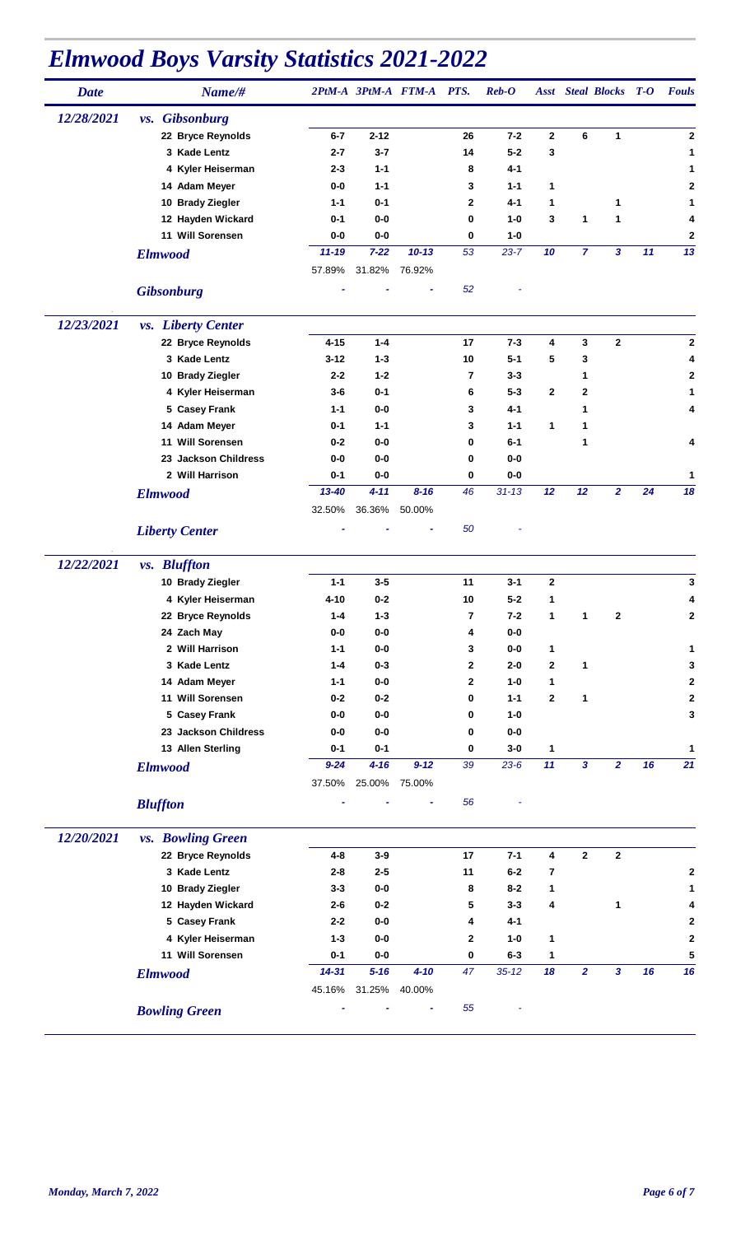| <b>Date</b> | Name/#                         |                    |                  | 2PtM-A 3PtM-A FTM-A PTS. |              | $\mathbf{Reb}\text{-}\mathbf{O}$ |              |                | <b>Asst</b> Steal Blocks | $T-O$ | <b>Fouls</b> |
|-------------|--------------------------------|--------------------|------------------|--------------------------|--------------|----------------------------------|--------------|----------------|--------------------------|-------|--------------|
| 12/28/2021  | <i>vs.</i> Gibsonburg          |                    |                  |                          |              |                                  |              |                |                          |       |              |
|             | 22 Bryce Reynolds              | $6 - 7$            | $2 - 12$         |                          | 26           | $7 - 2$                          | $\mathbf{2}$ | 6              | 1                        |       | 2            |
|             | 3 Kade Lentz                   | $2 - 7$            | $3 - 7$          |                          | 14           | $5 - 2$                          | 3            |                |                          |       | 1            |
|             | 4 Kyler Heiserman              | $2 - 3$            | $1 - 1$          |                          | 8            | 4-1                              |              |                |                          |       | 1            |
|             | 14 Adam Meyer                  | $0-0$              | $1 - 1$          |                          | 3            | $1 - 1$                          | 1            |                |                          |       | $\mathbf{2}$ |
|             | 10 Brady Ziegler               | $1 - 1$            | $0 - 1$          |                          | 2            | 4-1                              | 1            |                | 1                        |       | 1            |
|             | 12 Hayden Wickard              | $0 - 1$            | $0-0$            |                          | 0            | $1-0$                            | 3            | 1              | 1                        |       | 4            |
|             | 11 Will Sorensen               | $0-0$              | $0-0$            |                          | 0            | $1-0$                            |              |                |                          |       | $\mathbf 2$  |
|             | <b>Elmwood</b>                 | $11 - 19$          | $7 - 22$         | $10 - 13$                | 53           | $23 - 7$                         | 10           | $\overline{7}$ | 3                        | 11    | 13           |
|             |                                | 57.89%             | 31.82%           | 76.92%                   |              |                                  |              |                |                          |       |              |
|             | <b>Gibsonburg</b>              |                    |                  |                          | 52           |                                  |              |                |                          |       |              |
|             |                                |                    |                  |                          |              |                                  |              |                |                          |       |              |
| 12/23/2021  | <i>vs.</i> Liberty Center      |                    |                  |                          |              |                                  |              |                |                          |       |              |
|             | 22 Bryce Reynolds              | $4 - 15$           | $1 - 4$          |                          | 17           | $7 - 3$                          | 4            | 3              | $\mathbf{2}$             |       | $\mathbf{2}$ |
|             | 3 Kade Lentz                   | $3 - 12$           | $1 - 3$          |                          | 10           | $5 - 1$                          | 5            | 3              |                          |       | 4            |
|             | 10 Brady Ziegler               | $2 - 2$            | $1 - 2$          |                          | 7            | $3 - 3$                          |              | 1              |                          |       | 2            |
|             | 4 Kyler Heiserman              | $3-6$              | $0 - 1$<br>$0-0$ |                          | 6            | $5 - 3$<br>$4 - 1$               | $\mathbf{2}$ | 2              |                          |       | 1            |
|             | 5 Casey Frank<br>14 Adam Meyer | $1 - 1$<br>$0 - 1$ | $1 - 1$          |                          | 3<br>3       | $1 - 1$                          | 1            | 1<br>1         |                          |       | 4            |
|             | 11 Will Sorensen               | $0 - 2$            | $0-0$            |                          | 0            | $6-1$                            |              | 1              |                          |       | 4            |
|             | 23 Jackson Childress           | $0-0$              | $0-0$            |                          | 0            | $0-0$                            |              |                |                          |       |              |
|             | 2 Will Harrison                | $0 - 1$            | $0-0$            |                          | 0            | $0-0$                            |              |                |                          |       | 1            |
|             |                                | $13 - 40$          | $4 - 11$         | $8 - 16$                 | 46           | $31 - 13$                        | 12           | 12             | $\overline{2}$           | 24    | 18           |
|             | <b>Elmwood</b>                 | 32.50%             | 36.36%           | 50.00%                   |              |                                  |              |                |                          |       |              |
|             | <b>Liberty Center</b>          |                    |                  |                          | 50           |                                  |              |                |                          |       |              |
| 12/22/2021  | <i>vs.</i> Bluffton            |                    |                  |                          |              |                                  |              |                |                          |       |              |
|             | 10 Brady Ziegler               | $1 - 1$            | $3 - 5$          |                          | 11           | $3 - 1$                          | $\mathbf 2$  |                |                          |       | 3            |
|             | 4 Kyler Heiserman              | 4-10               | $0 - 2$          |                          | 10           | $5-2$                            | 1            |                |                          |       | 4            |
|             | 22 Bryce Reynolds              | $1 - 4$            | $1 - 3$          |                          | 7            | $7 - 2$                          | 1            | 1              | $\mathbf 2$              |       | 2            |
|             | 24 Zach May                    | $0-0$              | $0-0$            |                          | 4            | $0-0$                            |              |                |                          |       |              |
|             | 2 Will Harrison                | $1 - 1$            | $0-0$            |                          | 3            | $0-0$                            | 1            |                |                          |       | 1            |
|             | 3 Kade Lentz                   | $1 - 4$            | $0 - 3$          |                          | $\mathbf{2}$ | $2 - 0$                          | $\mathbf{2}$ | 1              |                          |       | 3            |
|             | 14 Adam Meyer                  | $1 - 1$            | $0-0$            |                          | $\mathbf{2}$ | $1-0$                            | 1            |                |                          |       | 2            |
|             | 11 Will Sorensen               | $0 - 2$            | $0-2$            |                          | 0            | $1 - 1$                          | $\mathbf{2}$ | 1              |                          |       | $\mathbf 2$  |
|             | 5 Casey Frank                  | $0-0$              | $0-0$            |                          | 0            | $1-0$                            |              |                |                          |       | 3            |
|             | 23 Jackson Childress           | $0-0$              | $0-0$            |                          | 0            | $0-0$                            |              |                |                          |       |              |
|             | 13 Allen Sterling              | $0 - 1$            | $0 - 1$          |                          | 0            | $3-0$                            | 1            |                |                          |       | 1            |
|             | <b>Elmwood</b>                 | $9 - 24$           | $4 - 16$         | $9 - 12$                 | 39           | $23 - 6$                         | 11           | 3              | $\overline{2}$           | 16    | 21           |
|             |                                | 37.50%             | 25.00%           | 75.00%                   |              |                                  |              |                |                          |       |              |
|             | <b>Bluffton</b>                |                    |                  |                          | 56           |                                  |              |                |                          |       |              |
| 12/20/2021  | <i>vs.</i> Bowling Green       |                    |                  |                          |              |                                  |              |                |                          |       |              |
|             | 22 Bryce Reynolds              | $4 - 8$            | $3-9$            |                          | 17           | $7 - 1$                          | 4            | $\bf 2$        | $\mathbf{2}$             |       |              |
|             | 3 Kade Lentz                   | $2 - 8$            | $2 - 5$          |                          | 11           | $6-2$                            | 7            |                |                          |       | 2            |
|             | 10 Brady Ziegler               | $3 - 3$            | $0-0$            |                          | 8            | $8 - 2$                          | 1            |                |                          |       | 1            |
|             | 12 Hayden Wickard              | $2 - 6$            | $0-2$            |                          | 5            | $3 - 3$                          | 4            |                | 1                        |       | 4            |
|             | 5 Casey Frank                  | $2 - 2$            | $0-0$            |                          | 4            | $4 - 1$                          |              |                |                          |       | $\mathbf{2}$ |
|             | 4 Kyler Heiserman              | $1 - 3$            | $0-0$            |                          | $\mathbf{2}$ | $1-0$                            | 1            |                |                          |       | 2            |
|             | 11 Will Sorensen               | $0 - 1$            | $0-0$            |                          | $\mathbf 0$  | $6 - 3$                          | 1            |                |                          |       | 5            |
|             | <b>Elmwood</b>                 | $14 - 31$          | $5 - 16$         | $4 - 10$                 | 47           | $35 - 12$                        | 18           | $\overline{2}$ | $\mathbf{3}$             | 16    | 16           |
|             |                                |                    | 45.16% 31.25%    | 40.00%                   |              |                                  |              |                |                          |       |              |
|             | <b>Bowling Green</b>           |                    |                  |                          | 55           |                                  |              |                |                          |       |              |